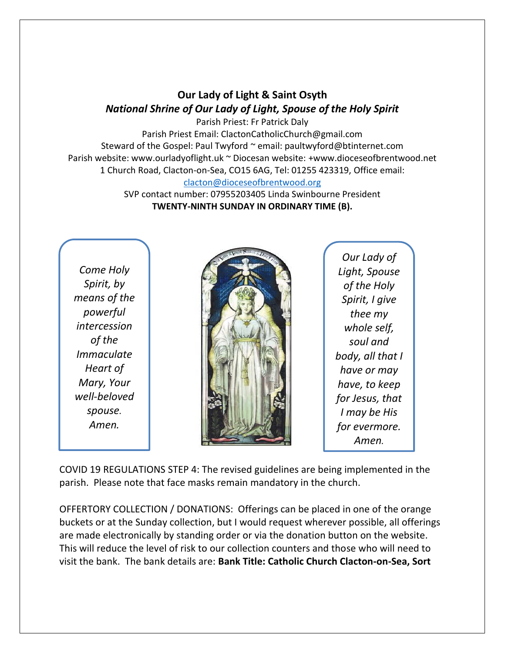## **Our Lady of Light & Saint Osyth** *National Shrine of Our Lady of Light, Spouse of the Holy Spirit*

Parish Priest: Fr Patrick Daly Parish Priest Email: ClactonCatholicChurch@gmail.com Steward of the Gospel: Paul Twyford ~ email: paultwyford@btinternet.com Parish website: www.ourladyoflight.uk ~ Diocesan website: +www.dioceseofbrentwood.net 1 Church Road, Clacton-on-Sea, CO15 6AG, Tel: 01255 423319, Office email: [clacton@dioceseofbrentwood.org](mailto:clacton@dioceseofbrentwood.org)

> SVP contact number: 07955203405 Linda Swinbourne President **TWENTY-NINTH SUNDAY IN ORDINARY TIME (B).**

*Come Holy Spirit, by means of the powerful intercession of the Immaculate Heart of Mary, Your well-beloved spouse. Amen.*



*Our Lady of Light, Spouse of the Holy Spirit, I give thee my whole self, soul and body, all that I have or may have, to keep for Jesus, that I may be His for evermore. Amen.*

COVID 19 REGULATIONS STEP 4: The revised guidelines are being implemented in the parish. Please note that face masks remain mandatory in the church.

OFFERTORY COLLECTION / DONATIONS: Offerings can be placed in one of the orange buckets or at the Sunday collection, but I would request wherever possible, all offerings are made electronically by standing order or via the donation button on the website. This will reduce the level of risk to our collection counters and those who will need to visit the bank. The bank details are: **Bank Title: Catholic Church Clacton-on-Sea, Sort**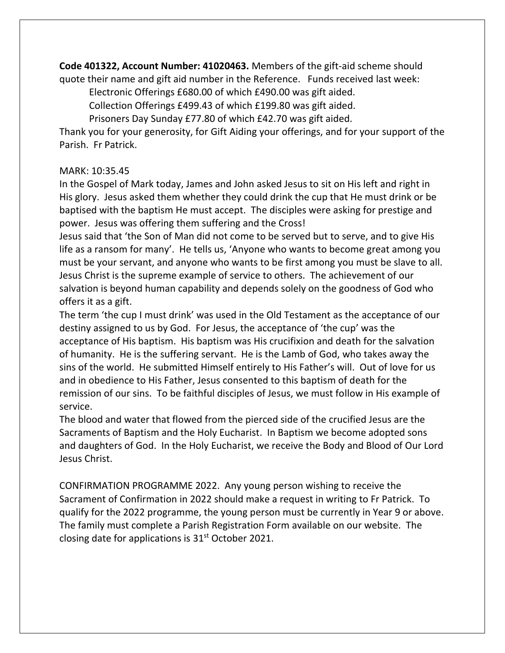**Code 401322, Account Number: 41020463.** Members of the gift-aid scheme should

quote their name and gift aid number in the Reference. Funds received last week: Electronic Offerings £680.00 of which £490.00 was gift aided.

Collection Offerings £499.43 of which £199.80 was gift aided.

Prisoners Day Sunday £77.80 of which £42.70 was gift aided.

Thank you for your generosity, for Gift Aiding your offerings, and for your support of the Parish. Fr Patrick.

## MARK: 10:35.45

In the Gospel of Mark today, James and John asked Jesus to sit on His left and right in His glory. Jesus asked them whether they could drink the cup that He must drink or be baptised with the baptism He must accept. The disciples were asking for prestige and power. Jesus was offering them suffering and the Cross!

Jesus said that 'the Son of Man did not come to be served but to serve, and to give His life as a ransom for many'. He tells us, 'Anyone who wants to become great among you must be your servant, and anyone who wants to be first among you must be slave to all. Jesus Christ is the supreme example of service to others. The achievement of our salvation is beyond human capability and depends solely on the goodness of God who offers it as a gift.

The term 'the cup I must drink' was used in the Old Testament as the acceptance of our destiny assigned to us by God. For Jesus, the acceptance of 'the cup' was the acceptance of His baptism. His baptism was His crucifixion and death for the salvation of humanity. He is the suffering servant. He is the Lamb of God, who takes away the sins of the world. He submitted Himself entirely to His Father's will. Out of love for us and in obedience to His Father, Jesus consented to this baptism of death for the remission of our sins. To be faithful disciples of Jesus, we must follow in His example of service.

The blood and water that flowed from the pierced side of the crucified Jesus are the Sacraments of Baptism and the Holy Eucharist. In Baptism we become adopted sons and daughters of God. In the Holy Eucharist, we receive the Body and Blood of Our Lord Jesus Christ.

CONFIRMATION PROGRAMME 2022. Any young person wishing to receive the Sacrament of Confirmation in 2022 should make a request in writing to Fr Patrick. To qualify for the 2022 programme, the young person must be currently in Year 9 or above. The family must complete a Parish Registration Form available on our website. The closing date for applications is  $31<sup>st</sup>$  October 2021.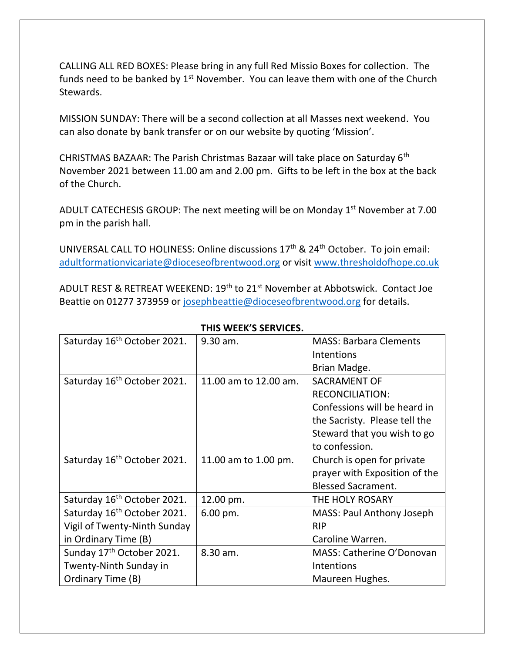CALLING ALL RED BOXES: Please bring in any full Red Missio Boxes for collection. The funds need to be banked by  $1<sup>st</sup>$  November. You can leave them with one of the Church Stewards.

MISSION SUNDAY: There will be a second collection at all Masses next weekend. You can also donate by bank transfer or on our website by quoting 'Mission'.

CHRISTMAS BAZAAR: The Parish Christmas Bazaar will take place on Saturday 6th November 2021 between 11.00 am and 2.00 pm. Gifts to be left in the box at the back of the Church.

ADULT CATECHESIS GROUP: The next meeting will be on Monday  $1<sup>st</sup>$  November at 7.00 pm in the parish hall.

UNIVERSAL CALL TO HOLINESS: Online discussions 17<sup>th</sup> & 24<sup>th</sup> October. To join email: [adultformationvicariate@dioceseofbrentwood.org](mailto:adultformationvicariate@dioceseofbrentwood.org) or visit [www.thresholdofhope.co.uk](http://www.thresholdofhope.co.uk/)

ADULT REST & RETREAT WEEKEND: 19th to 21st November at Abbotswick. Contact Joe Beattie on 01277 373959 or [josephbeattie@dioceseofbrentwood.org](mailto:josephbeattie@dioceseofbrentwood.org) for details.

| Saturday 16 <sup>th</sup> October 2021. | 9.30 am.              | <b>MASS: Barbara Clements</b>    |
|-----------------------------------------|-----------------------|----------------------------------|
|                                         |                       | Intentions                       |
|                                         |                       | Brian Madge.                     |
| Saturday 16 <sup>th</sup> October 2021. | 11.00 am to 12.00 am. | <b>SACRAMENT OF</b>              |
|                                         |                       | <b>RECONCILIATION:</b>           |
|                                         |                       | Confessions will be heard in     |
|                                         |                       | the Sacristy. Please tell the    |
|                                         |                       | Steward that you wish to go      |
|                                         |                       | to confession.                   |
| Saturday 16 <sup>th</sup> October 2021. | 11.00 am to 1.00 pm.  | Church is open for private       |
|                                         |                       | prayer with Exposition of the    |
|                                         |                       | <b>Blessed Sacrament.</b>        |
| Saturday 16 <sup>th</sup> October 2021. | 12.00 pm.             | THE HOLY ROSARY                  |
| Saturday 16 <sup>th</sup> October 2021. | 6.00 pm.              | <b>MASS: Paul Anthony Joseph</b> |
| Vigil of Twenty-Ninth Sunday            |                       | <b>RIP</b>                       |
| in Ordinary Time (B)                    |                       | Caroline Warren.                 |
| Sunday 17 <sup>th</sup> October 2021.   | 8.30 am.              | MASS: Catherine O'Donovan        |
| Twenty-Ninth Sunday in                  |                       | Intentions                       |
| Ordinary Time (B)                       |                       | Maureen Hughes.                  |

## **THIS WEEK'S SERVICES.**